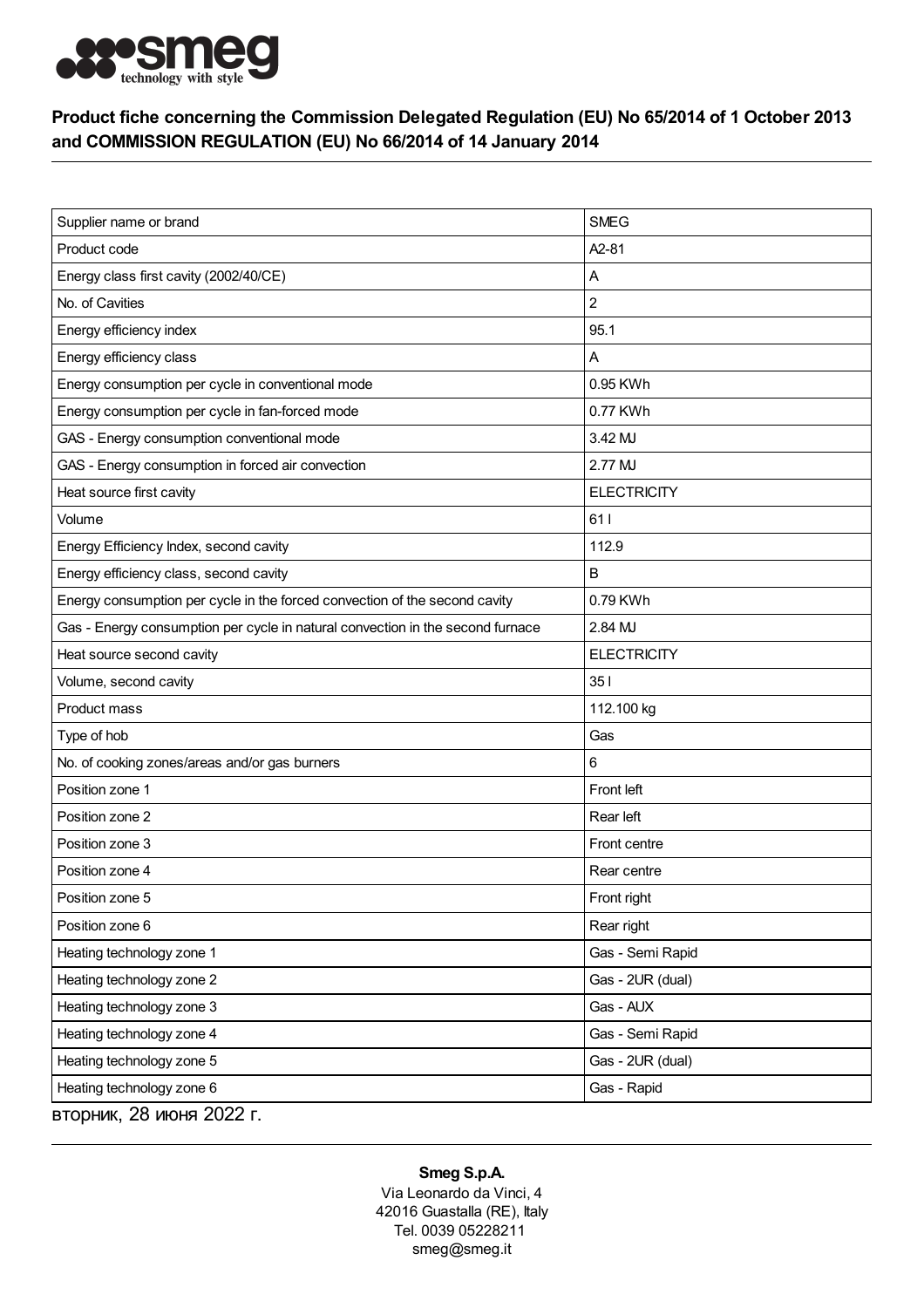

## Product fiche concerning the Commission Delegated Regulation (EU) No 65/2014 of 1 October 2013 and COMMISSION REGULATION (EU) No 66/2014 of 14 January 2014

| Supplier name or brand                                                         | <b>SMEG</b>        |
|--------------------------------------------------------------------------------|--------------------|
| Product code                                                                   | A2-81              |
| Energy class first cavity (2002/40/CE)                                         | Α                  |
| No. of Cavities                                                                | $\overline{c}$     |
| Energy efficiency index                                                        | 95.1               |
| Energy efficiency class                                                        | Α                  |
| Energy consumption per cycle in conventional mode                              | 0.95 KWh           |
| Energy consumption per cycle in fan-forced mode                                | 0.77 KWh           |
| GAS - Energy consumption conventional mode                                     | 3.42 MJ            |
| GAS - Energy consumption in forced air convection                              | 2.77 MJ            |
| Heat source first cavity                                                       | <b>ELECTRICITY</b> |
| Volume                                                                         | 611                |
| Energy Efficiency Index, second cavity                                         | 112.9              |
| Energy efficiency class, second cavity                                         | B                  |
| Energy consumption per cycle in the forced convection of the second cavity     | 0.79 KWh           |
| Gas - Energy consumption per cycle in natural convection in the second furnace | 2.84 MJ            |
| Heat source second cavity                                                      | <b>ELECTRICITY</b> |
| Volume, second cavity                                                          | 351                |
| Product mass                                                                   | 112.100 kg         |
| Type of hob                                                                    | Gas                |
| No. of cooking zones/areas and/or gas burners                                  | 6                  |
| Position zone 1                                                                | Front left         |
| Position zone 2                                                                | Rear left          |
| Position zone 3                                                                | Front centre       |
| Position zone 4                                                                | Rear centre        |
| Position zone 5                                                                | Front right        |
| Position zone 6                                                                | Rear right         |
| Heating technology zone 1                                                      | Gas - Semi Rapid   |
| Heating technology zone 2                                                      | Gas - 2UR (dual)   |
| Heating technology zone 3                                                      | Gas - AUX          |
| Heating technology zone 4                                                      | Gas - Semi Rapid   |
| Heating technology zone 5                                                      | Gas - 2UR (dual)   |
| Heating technology zone 6                                                      | Gas - Rapid        |
| вторник, 28 июня 2022 г.                                                       |                    |

## Smeg S.p.A.

Via Leonardo da Vinci, 4 42016 Guastalla (RE), Italy Tel. 0039 05228211 smeg@smeg.it